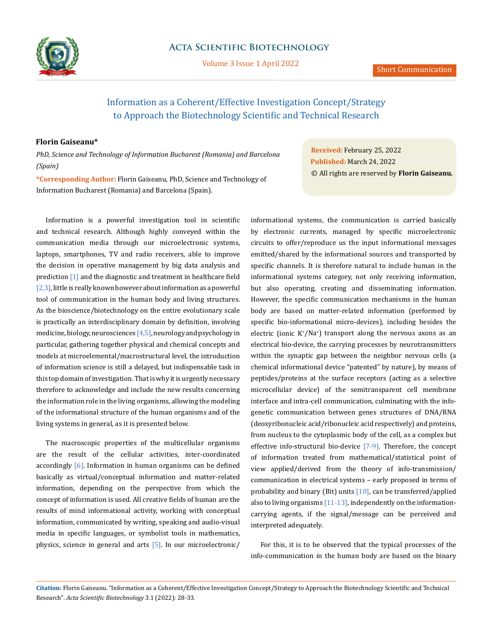

Volume 3 Issue 1 April 2022

# Information as a Coherent/Effective Investigation Concept/Strategy to Approach the Biotechnology Scientific and Technical Research

## **Florin Gaiseanu\***

*PhD, Science and Technology of Information Bucharest (Romania) and Barcelona (Spain)*

**\*Corresponding Author:** Florin Gaiseanu, PhD, Science and Technology of Information Bucharest (Romania) and Barcelona (Spain).

Information is a powerful investigation tool in scientific and technical research. Although highly conveyed within the communication media through our microelectronic systems, laptops, smartphones, TV and radio receivers, able to improve the decision in operative management by big data analysis and prediction [1] and the diagnostic and treatment in healthcare field  $[2,3]$ , little is really known however about information as a powerful tool of communication in the human body and living structures. As the bioscience/biotechnology on the entire evolutionary scale is practically an interdisciplinary domain by definition, involving medicine, biology, neurosciences  $[4,5]$ , neurology and psychology in particular, gathering together physical and chemical concepts and models at microelemental/macrostructural level, the introduction of information science is still a delayed, but indispensable task in this top domain of investigation. That is why it is urgently necessary therefore to acknowledge and include the new results concerning the information role in the living organisms, allowing the modeling of the informational structure of the human organisms and of the living systems in general, as it is presented below.

The macroscopic properties of the multicellular organisms are the result of the cellular activities, inter-coordinated accordingly [6]. Information in human organisms can be defined basically as virtual/conceptual information and matter-related information, depending on the perspective from which the concept of information is used. All creative fields of human are the results of mind informational activity, working with conceptual information, communicated by writing, speaking and audio-visual media in specific languages, or symbolist tools in mathematics, physics, science in general and arts [5]. In our microelectronic/

**Received:** February 25, 2022 **Published:** March 24, 2022 © All rights are reserved by **Florin Gaiseanu***.*

informational systems, the communication is carried basically by electronic currents, managed by specific microelectronic circuits to offer/reproduce us the input informational messages emitted/shared by the informational sources and transported by specific channels. It is therefore natural to include human in the informational systems category, not only receiving information, but also operating, creating and disseminating information. However, the specific communication mechanisms in the human body are based on matter-related information (performed by specific bio-informational micro-devices), including besides the electric (ionic K+ /Na<sup>+</sup> ) transport along the nervous axons as an electrical bio-device, the carrying processes by neurotransmitters within the synaptic gap between the neighbor nervous cells (a chemical informational device "patented" by nature), by means of peptides/proteins at the surface receptors (acting as a selective microcellular device) of the semitransparent cell membrane interface and intra-cell communication, culminating with the infogenetic communication between genes structures of DNA/RNA (deoxyribonucleic acid/ribonucleic acid respectively) and proteins, from nucleus to the cytoplasmic body of the cell, as a complex but effective info-structural bio-device [7-9]. Therefore, the concept of information treated from mathematical/statistical point of view applied/derived from the theory of info-transmission/ communication in electrical systems – early proposed in terms of probability and binary (Bit) units [10], can be transferred/applied also to living organisms  $[11-13]$ , independently on the informationcarrying agents, if the signal/message can be perceived and interpreted adequately.

For this, it is to be observed that the typical processes of the info-communication in the human body are based on the binary

**Citation:** Florin Gaiseanu*.* "Information as a Coherent/Effective Investigation Concept/Strategy to Approach the Biotechnology Scientific and Technical Research". *Acta Scientific Biotechnology* 3.1 (2022): 28-33.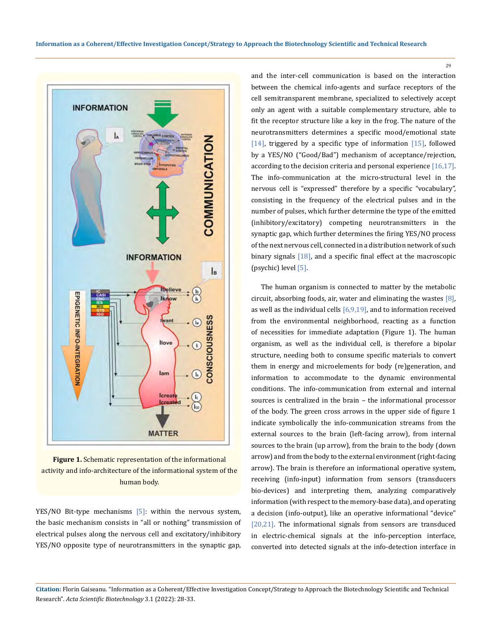

**Figure 1.** Schematic representation of the informational activity and info-architecture of the informational system of the human body.

lam

Icreat **Icreat** 

**MATTER** 

EPIGENETIC INFO-INTEGRATIO

YES/NO Bit-type mechanisms [5]: within the nervous system, the basic mechanism consists in "all or nothing" transmission of electrical pulses along the nervous cell and excitatory/inhibitory YES/NO opposite type of neurotransmitters in the synaptic gap,

and the inter-cell communication is based on the interaction between the chemical info-agents and surface receptors of the cell semitransparent membrane, specialized to selectively accept only an agent with a suitable complementary structure, able to fit the receptor structure like a key in the frog. The nature of the neurotransmitters determines a specific mood/emotional state [14], triggered by a specific type of information [15], followed by a YES/NO ("Good/Bad") mechanism of acceptance/rejection, according to the decision criteria and personal experience [16,17]. The info-communication at the micro-structural level in the nervous cell is "expressed" therefore by a specific "vocabulary", consisting in the frequency of the electrical pulses and in the number of pulses, which further determine the type of the emitted (inhibitory/excitatory) competing neurotransmitters in the synaptic gap, which further determines the firing YES/NO process of the next nervous cell, connected in a distribution network of such binary signals [18], and a specific final effect at the macroscopic (psychic) level [5].

The human organism is connected to matter by the metabolic circuit, absorbing foods, air, water and eliminating the wastes [8], as well as the individual cells  $[6,9,19]$ , and to information received from the environmental neighborhood, reacting as a function of necessities for immediate adaptation (Figure 1). The human organism, as well as the individual cell, is therefore a bipolar structure, needing both to consume specific materials to convert them in energy and microelements for body (re)generation, and information to accommodate to the dynamic environmental conditions. The info-communication from external and internal sources is centralized in the brain – the informational processor of the body. The green cross arrows in the upper side of figure 1 indicate symbolically the info-communication streams from the external sources to the brain (left-facing arrow), from internal sources to the brain (up arrow), from the brain to the body (down arrow) and from the body to the external environment (right-facing arrow). The brain is therefore an informational operative system, receiving (info-input) information from sensors (transducers bio-devices) and interpreting them, analyzing comparatively information (with respect to the memory-base data), and operating a decision (info-output), like an operative informational "device" [20,21]. The informational signals from sensors are transduced in electric-chemical signals at the info-perception interface, converted into detected signals at the info-detection interface in

29

**Citation:** Florin Gaiseanu*.* "Information as a Coherent/Effective Investigation Concept/Strategy to Approach the Biotechnology Scientific and Technical Research". *Acta Scientific Biotechnology* 3.1 (2022): 28-33.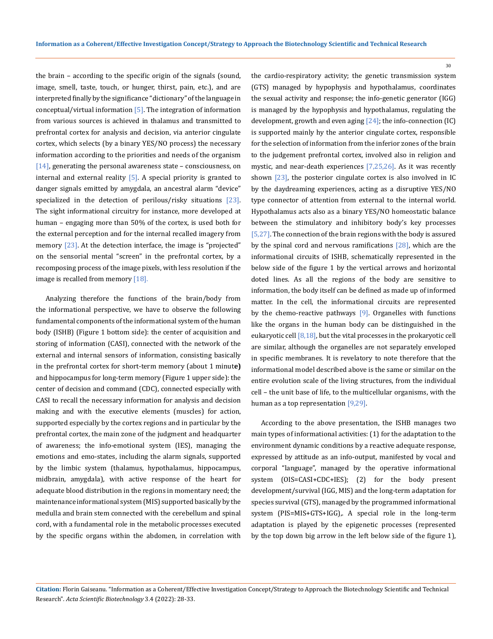the brain – according to the specific origin of the signals (sound, image, smell, taste, touch, or hunger, thirst, pain, etc.), and are interpreted finally by the significance "dictionary" of the language in conceptual/virtual information  $[5]$ . The integration of information from various sources is achieved in thalamus and transmitted to prefrontal cortex for analysis and decision, via anterior cingulate cortex, which selects (by a binary YES/NO process) the necessary information according to the priorities and needs of the organism  $[14]$ , generating the personal awareness state – consciousness, on internal and external reality  $[5]$ . A special priority is granted to danger signals emitted by amygdala, an ancestral alarm "device" specialized in the detection of perilous/risky situations [23]. The sight informational circuitry for instance, more developed at human – engaging more than 50% of the cortex, is used both for the external perception and for the internal recalled imagery from memory [23]. At the detection interface, the image is "projected" on the sensorial mental "screen" in the prefrontal cortex, by a recomposing process of the image pixels, with less resolution if the image is recalled from memory [18].

Analyzing therefore the functions of the brain/body from the informational perspective, we have to observe the following fundamental components of the informational system of the human body (ISHB) (Figure 1 bottom side): the center of acquisition and storing of information (CASI), connected with the network of the external and internal sensors of information, consisting basically in the prefrontal cortex for short-term memory (about 1 minut**e)**  and hippocampus for long-term memory (Figure 1 upper side): the center of decision and command (CDC), connected especially with CASI to recall the necessary information for analysis and decision making and with the executive elements (muscles) for action, supported especially by the cortex regions and in particular by the prefrontal cortex, the main zone of the judgment and headquarter of awareness; the info-emotional system (IES), managing the emotions and emo-states, including the alarm signals, supported by the limbic system (thalamus, hypothalamus, hippocampus, midbrain, amygdala), with active response of the heart for adequate blood distribution in the regions in momentary need; the maintenance informational system (MIS) supported basically by the medulla and brain stem connected with the cerebellum and spinal cord, with a fundamental role in the metabolic processes executed by the specific organs within the abdomen, in correlation with

the cardio-respiratory activity; the genetic transmission system (GTS) managed by hypophysis and hypothalamus, coordinates the sexual activity and response; the info-genetic generator (IGG) is managed by the hypophysis and hypothalamus, regulating the development, growth and even aging [24]; the info-connection (IC) is supported mainly hy the anterior cingulate cortex, responsible for the selection of information from the inferior zones of the brain to the judgement prefrontal cortex, involved also in religion and mystic, and near-death experiences [7,25,26]. As it was recently shown [23], the posterior cingulate cortex is also involved in IC by the daydreaming experiences, acting as a disruptive YES/NO type connector of attention from external to the internal world. Hypothalamus acts also as a binary YES/NO homeostatic balance between the stimulatory and inhibitory body's key processes [5,27]. The connection of the brain regions with the body is assured by the spinal cord and nervous ramifications [28], which are the informational circuits of ISHB, schematically represented in the below side of the figure 1 by the vertical arrows and horizontal doted lines. As all the regions of the body are sensitive to information, the body itself can be defined as made up of informed matter. In the cell, the informational circuits are represented by the chemo-reactive pathways [9]. Organelles with functions like the organs in the human body can be distinguished in the eukaryotic cell [8,18], but the vital processes in the prokaryotic cell are similar, although the organelles are not separately enveloped in specific membranes. It is revelatory to note therefore that the informational model described above is the same or similar on the entire evolution scale of the living structures, from the individual cell – the unit base of life, to the multicellular organisms, with the human as a top representation [9,29].

According to the above presentation, the ISHB manages two main types of informational activities: (1) for the adaptation to the environment dynamic conditions by a reactive adequate response, expressed by attitude as an info-output, manifested by vocal and corporal "language", managed by the operative informational system (OIS=CASI+CDC+IES); (2) for the body present development/survival (IGG, MIS) and the long-term adaptation for species survival (GTS), managed by the programmed informational system (PIS=MIS+GTS+IGG),. A special role in the long-term adaptation is played by the epigenetic processes (represented by the top down big arrow in the left below side of the figure 1),

30

**Citation:** Florin Gaiseanu*.* "Information as a Coherent/Effective Investigation Concept/Strategy to Approach the Biotechnology Scientific and Technical Research". *Acta Scientific Biotechnology* 3.4 (2022): 28-33.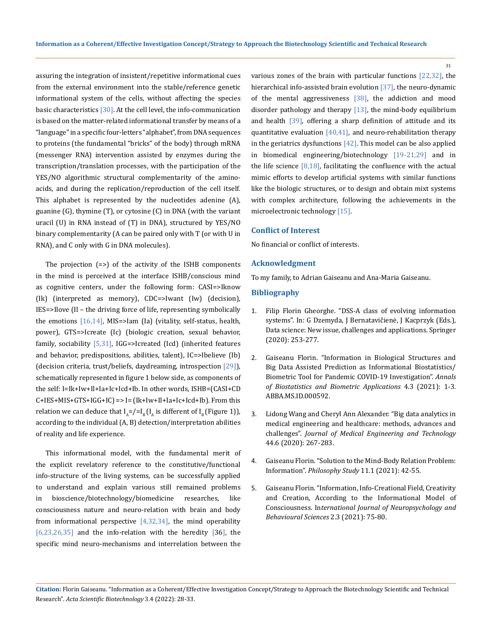assuring the integration of insistent/repetitive informational cues from the external environment into the stable/reference genetic informational system of the cells, without affecting the species basic characteristics  $[30]$ . At the cell level, the info-communication is based on the matter-related informational transfer by means of a "language" in a specific four-letters "alphabet", from DNA sequences to proteins (the fundamental "bricks" of the body) through mRNA (messenger RNA) intervention assisted by enzymes during the transcription/translation processes, with the participation of the YES/NO algorithmic structural complementarity of the aminoacids, and during the replication/reproduction of the cell itself. This alphabet is represented by the nucleotides adenine (A), guanine (G), thymine (T), or cytosine (C) in DNA (with the variant uracil (U) in RNA instead of (T) in DNA), structured by YES/NO binary complementarity (A can be paired only with T (or with U in RNA), and C only with G in DNA molecules).

The projection (=>) of the activity of the ISHB components in the mind is perceived at the interface ISHB/conscious mind as cognitive centers, under the following form: CASI=>Iknow (Ik) (interpreted as memory), CDC=>Iwant (Iw) (decision), IES=>Ilove (Il – the driving force of life, representing symbolically the emotions  $[16,14]$ , MIS=>Iam (Ia) (vitality, self-status, health, power), GTS=>Icreate (Ic) (biologic creation, sexual behavior, family, sociability [5,31], IGG=>Icreated (Icd) (inherited features and behavior, predispositions, abilities, talent), IC=>Ibelieve (Ib) (decision criteria, trust/beliefs, daydreaming, introspection [29]), schematically represented in figure 1 below side, as components of the self: I=Ik+Iw+Il+Ia+Ic+Icd+Ib. In other words, ISHB=(CASI+CD  $C+IES+MIS+GTS+IGG+IC$  => I=  $(Ik+Iw+Il+Ia+Ic+Icd+Ib)$ . From this relation we can deduce that  $I_A = / = I_B (I_A$  is different of  $I_B$  (Figure 1)), according to the individual (A, B) detection/interpretation abilities of reality and life experience.

This informational model, with the fundamental merit of the explicit revelatory reference to the constitutive/functional info-structure of the living systems, can be successfully applied to understand and explain various still remained problems in bioscience/biotechnology/biomedicine researches, like consciousness nature and neuro-relation with brain and body from informational perspective  $[4,32,34]$ , the mind operability  $[6,23,26,35]$  and the info-relation with the heredity  $[36]$ , the specific mind neuro-mechanisms and interrelation between the various zones of the brain with particular functions [22,32], the hierarchical info-assisted brain evolution [37], the neuro-dynamic of the mental aggressiveness [38], the addiction and mood disorder pathology and therapy  $[13]$ , the mind-body equilibrium and health [39], offering a sharp definition of attitude and its quantitative evaluation  $[40,41]$ , and neuro-rehabilitation therapy in the geriatrics dysfunctions  $[42]$ . This model can be also applied in biomedical engineering/biotechnology [19-21,29] and in the life science  $[8,18]$ , facilitating the confluence with the actual mimic efforts to develop artificial systems with similar functions like the biologic structures, or to design and obtain mixt systems with complex architecture, following the achievements in the microelectronic technology [15].

31

## **Conflict of Interest**

No financial or conflict of interests.

#### **Acknowledgment**

To my family, to Adrian Gaiseanu and Ana-Maria Gaiseanu.

### **Bibliography**

- 1. Filip Florin Gheorghe. "DSS-A class of evolving information systems". In: G Dzemyda, J Bernatavičienė, J Kacprzyk (Eds.), Data science: New issue, challenges and applications. Springer (2020): 253-277.
- 2. [Gaiseanu Florin. "Information in Biological Structures and](https://www.researchgate.net/publication/356972157_Information_in_Biological_Structures_and_Big_Data_Assisted_Prediction_as_Informational_Biostatistics_Biometric_Tool_for_Pandemic_COVID-19_Investigation)  [Big Data Assisted Prediction as Informational Biostatistics/](https://www.researchgate.net/publication/356972157_Information_in_Biological_Structures_and_Big_Data_Assisted_Prediction_as_Informational_Biostatistics_Biometric_Tool_for_Pandemic_COVID-19_Investigation) [Biometric Tool for Pandemic COVID-19 Investigation".](https://www.researchgate.net/publication/356972157_Information_in_Biological_Structures_and_Big_Data_Assisted_Prediction_as_Informational_Biostatistics_Biometric_Tool_for_Pandemic_COVID-19_Investigation) *Annals [of Biostatistics and Biometric Applications](https://www.researchgate.net/publication/356972157_Information_in_Biological_Structures_and_Big_Data_Assisted_Prediction_as_Informational_Biostatistics_Biometric_Tool_for_Pandemic_COVID-19_Investigation)* 4.3 (2021): 1-3. [ABBA.MS.ID.000592.](https://www.researchgate.net/publication/356972157_Information_in_Biological_Structures_and_Big_Data_Assisted_Prediction_as_Informational_Biostatistics_Biometric_Tool_for_Pandemic_COVID-19_Investigation)
- 3. [Lidong Wang and Cheryl Ann Alexander. "Big data analytics in](https://pubmed.ncbi.nlm.nih.gov/32498594/)  [medical engineering and healthcare: methods, advances and](https://pubmed.ncbi.nlm.nih.gov/32498594/)  challenges". *[Journal of Medical Engineering and Technology](https://pubmed.ncbi.nlm.nih.gov/32498594/)*  [44.6 \(2020\): 267-283.](https://pubmed.ncbi.nlm.nih.gov/32498594/)
- 4. [Gaiseanu Florin. "Solution to the Mind-Body Relation Problem:](https://philpapers.org/rec/GAISTT)  Information". *Philosophy Study* [11.1 \(2021\): 42-55.](https://philpapers.org/rec/GAISTT)
- 5. [Gaiseanu Florin. "Information, Info-Creational Field, Creativity](https://skeenapublishers.com/journal/ijnbs/IJNBS-02-00017.pdf)  [and Creation, According to the Informational Model of](https://skeenapublishers.com/journal/ijnbs/IJNBS-02-00017.pdf)  Consciousness. In*[ternational Journal of Neuropsychology and](https://skeenapublishers.com/journal/ijnbs/IJNBS-02-00017.pdf)  [Behavioural Sciences](https://skeenapublishers.com/journal/ijnbs/IJNBS-02-00017.pdf)* 2.3 (2021): 75-80.

**Citation:** Florin Gaiseanu*.* "Information as a Coherent/Effective Investigation Concept/Strategy to Approach the Biotechnology Scientific and Technical Research". *Acta Scientific Biotechnology* 3.4 (2022): 28-33.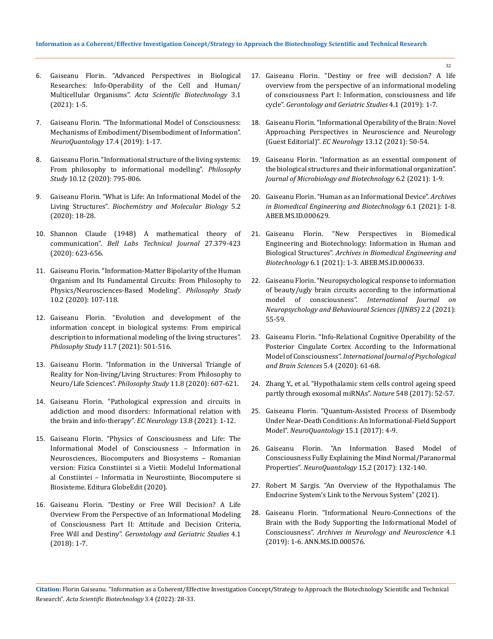- 6. [Gaiseanu Florin. "Advanced Perspectives in Biological](https://actascientific.com/ASBT/pdf/ASBT-02-0119.pdf)  [Researches: Info-Operability of the Cell and Human/](https://actascientific.com/ASBT/pdf/ASBT-02-0119.pdf) Multicellular Organisms". *[Acta Scientific Biotechnology](https://actascientific.com/ASBT/pdf/ASBT-02-0119.pdf)* 3.1 [\(2021\): 1-5.](https://actascientific.com/ASBT/pdf/ASBT-02-0119.pdf)
- 7. [Gaiseanu Florin. "The Informational Model of Consciousness:](https://www.researchgate.net/publication/332857633_The_Informational_Model_of_Consciousness_Mechanisms_of_EmbodimentDisembodiment_of_Information)  [Mechanisms of Embodiment/Disembodiment of Information".](https://www.researchgate.net/publication/332857633_The_Informational_Model_of_Consciousness_Mechanisms_of_EmbodimentDisembodiment_of_Information)  *[NeuroQuantology](https://www.researchgate.net/publication/332857633_The_Informational_Model_of_Consciousness_Mechanisms_of_EmbodimentDisembodiment_of_Information)* 17.4 (2019): 1-17.
- 8. [Gaiseanu Florin. "Informational structure of the living systems:](https://www.researchgate.net/publication/348069584_Informational_Structure_of_the_Living_Systems_From_Philosophy_to_Informational_Modeling)  [From philosophy to informational modelling".](https://www.researchgate.net/publication/348069584_Informational_Structure_of_the_Living_Systems_From_Philosophy_to_Informational_Modeling) *Philosophy Study* [10.12 \(2020\): 795-806.](https://www.researchgate.net/publication/348069584_Informational_Structure_of_the_Living_Systems_From_Philosophy_to_Informational_Modeling)
- 9. [Gaiseanu Florin. "What is Life: An Informational Model of the](https://www.sciencepublishinggroup.com/journal/paperinfo?journalid=244&doi=10.11648/j.bmb.20200502.12)  Living Structures". *[Biochemistry and Molecular Biology](https://www.sciencepublishinggroup.com/journal/paperinfo?journalid=244&doi=10.11648/j.bmb.20200502.12)* 5.2 [\(2020\): 18-28.](https://www.sciencepublishinggroup.com/journal/paperinfo?journalid=244&doi=10.11648/j.bmb.20200502.12)
- 10. Shannon Claude (1948) A mathematical theory of communication". *Bell Labs Technical Journal* 27.379-423 (2020): 623-656.
- 11. [Gaiseanu Florin. "Information-Matter Bipolarity of the Human](https://philpapers.org/rec/GAIIBO)  [Organism and Its Fundamental Circuits: From Philosophy to](https://philpapers.org/rec/GAIIBO)  [Physics/Neurosciences-Based Modeling".](https://philpapers.org/rec/GAIIBO) *Philosophy Study* [10.2 \(2020\): 107-118.](https://philpapers.org/rec/GAIIBO)
- 12. [Gaiseanu Florin. "Evolution and development of the](https://www.researchgate.net/publication/353609122_Evolution_and_Development_of_the_Information_Concept_in_Biological_Systems_From_Empirical_Description_to_Informational_Modeling_of_the_Living_Structures)  [information concept in biological systems: From empirical](https://www.researchgate.net/publication/353609122_Evolution_and_Development_of_the_Information_Concept_in_Biological_Systems_From_Empirical_Description_to_Informational_Modeling_of_the_Living_Structures)  [description to informational modeling of the living structures".](https://www.researchgate.net/publication/353609122_Evolution_and_Development_of_the_Information_Concept_in_Biological_Systems_From_Empirical_Description_to_Informational_Modeling_of_the_Living_Structures)  *Philosophy Study* [11.7 \(2021\): 501-516.](https://www.researchgate.net/publication/353609122_Evolution_and_Development_of_the_Information_Concept_in_Biological_Systems_From_Empirical_Description_to_Informational_Modeling_of_the_Living_Structures)
- 13. [Gaiseanu Florin. "Information in the Universal Triangle of](https://www.researchgate.net/publication/354334770_Information_in_the_Universal_Triangle_of_Reality_for_Non-livingLiving_Structures_From_Philosophy_to_NeuroLife_Sciences)  [Reality for Non-living/Living Structures: From Philosophy to](https://www.researchgate.net/publication/354334770_Information_in_the_Universal_Triangle_of_Reality_for_Non-livingLiving_Structures_From_Philosophy_to_NeuroLife_Sciences)  Neuro/Life Sciences". *Philosophy Study* [11.8 \(2020\): 607-621.](https://www.researchgate.net/publication/354334770_Information_in_the_Universal_Triangle_of_Reality_for_Non-livingLiving_Structures_From_Philosophy_to_NeuroLife_Sciences)
- 14. Gaiseanu Florin. "Pathological expression and circuits in addiction and mood disorders: Informational relation with the brain and info-therapy". *EC Neurology* 13.8 (2021): 1-12.
- 15. [Gaiseanu Florin. "Physics of Consciousness and Life: The](https://www.amazon.com/Fizica-Conștiinței-Vieții-Informațional-Neuroștiințe/dp/6139421705)  [Informational Model of Consciousness – Information in](https://www.amazon.com/Fizica-Conștiinței-Vieții-Informațional-Neuroștiințe/dp/6139421705)  [Neurosciences, Biocomputers and Biosystems – Romanian](https://www.amazon.com/Fizica-Conștiinței-Vieții-Informațional-Neuroștiințe/dp/6139421705)  [version: Fizica Constiintei si a Vietii: Modelul Informational](https://www.amazon.com/Fizica-Conștiinței-Vieții-Informațional-Neuroștiințe/dp/6139421705)  [al Constiintei – Informatia in Neurostiinte, Biocomputere si](https://www.amazon.com/Fizica-Conștiinței-Vieții-Informațional-Neuroștiințe/dp/6139421705)  [Biosisteme. Editura GlobeEdit \(2020\).](https://www.amazon.com/Fizica-Conștiinței-Vieții-Informațional-Neuroștiințe/dp/6139421705)
- 16. [Gaiseanu Florin. "Destiny or Free Will Decision? A Life](https://crimsonpublishers.com/ggs/pdf/GGS.000576.pdf)  [Overview From the Perspective of an Informational Modeling](https://crimsonpublishers.com/ggs/pdf/GGS.000576.pdf)  [of Consciousness Part II: Attitude and Decision Criteria,](https://crimsonpublishers.com/ggs/pdf/GGS.000576.pdf)  Free Will and Destiny". *[Gerontology and Geriatric Studies](https://crimsonpublishers.com/ggs/pdf/GGS.000576.pdf)* 4.1 [\(2018\): 1-7.](https://crimsonpublishers.com/ggs/pdf/GGS.000576.pdf)
- 17. [Gaiseanu Florin. "Destiny or free will decision? A life](https://crimsonpublishers.com/ggs/pdf/GGS.000586.pdf)  [overview from the perspective of an informational modeling](https://crimsonpublishers.com/ggs/pdf/GGS.000586.pdf)  [of consciousness Part I: Information, consciousness and life](https://crimsonpublishers.com/ggs/pdf/GGS.000586.pdf)  cycle". *[Gerontology and Geriatric Studies](https://crimsonpublishers.com/ggs/pdf/GGS.000586.pdf)* 4.1 (2019): 1-7.
- 18. [Gaiseanu Florin. "Informational Operability of the Brain: Novel](https://www.ecronicon.com/ecne/pdf/ECNE-13-00983.pdf)  [Approaching Perspectives in Neuroscience and Neurology](https://www.ecronicon.com/ecne/pdf/ECNE-13-00983.pdf)  (Guest Editorial)". *EC Neurology* [13.12 \(2021\): 50-54.](https://www.ecronicon.com/ecne/pdf/ECNE-13-00983.pdf)
- 19. [Gaiseanu Florin. "Information as an essential component of](https://www.researchgate.net/publication/352832736_Information_as_an_Essential_Component_of_the_Biological_Structures_and_Their_Informational_Organization)  [the biological structures and their informational organization".](https://www.researchgate.net/publication/352832736_Information_as_an_Essential_Component_of_the_Biological_Structures_and_Their_Informational_Organization)  *[Journal of Microbiology and Biotechnology](https://www.researchgate.net/publication/352832736_Information_as_an_Essential_Component_of_the_Biological_Structures_and_Their_Informational_Organization)* 6.2 (2021): 1-9.
- 20. [Gaiseanu Florin. "Human as an Informational Device".](https://www.researchgate.net/publication/355143599_Human_as_an_Informational_Device) *Archives [in Biomedical Engineering and Biotechnology](https://www.researchgate.net/publication/355143599_Human_as_an_Informational_Device)* 6.1 (2021): 1-8. [ABEB.MS.ID.000629.](https://www.researchgate.net/publication/355143599_Human_as_an_Informational_Device)
- 21. [Gaiseanu Florin. "New Perspectives in Biomedical](https://irispublishers.com/abeb/pdf/ABEB.MS.ID.000633.pdf)  [Engineering and Biotechnology: Information in Human and](https://irispublishers.com/abeb/pdf/ABEB.MS.ID.000633.pdf)  Biological Structures". *[Archives in Biomedical Engineering and](https://irispublishers.com/abeb/pdf/ABEB.MS.ID.000633.pdf)  Biotechnology* [6.1 \(2021\): 1-3. ABEB.MS.ID.000633.](https://irispublishers.com/abeb/pdf/ABEB.MS.ID.000633.pdf)
- 22. [Gaiseanu Florin. "Neuropsychological response to information](https://www.researchgate.net/publication/353829724_Neuropsychological_Response_to_Information_of_Beauty_Ugly_Brain_Circuits_According_to_the_Informational_Model_of_Consciousness)  [of beauty/ugly brain circuits according to the informational](https://www.researchgate.net/publication/353829724_Neuropsychological_Response_to_Information_of_Beauty_Ugly_Brain_Circuits_According_to_the_Informational_Model_of_Consciousness)  model of consciousness". *[International Journal on](https://www.researchgate.net/publication/353829724_Neuropsychological_Response_to_Information_of_Beauty_Ugly_Brain_Circuits_According_to_the_Informational_Model_of_Consciousness)  [Neuropsychology and Behavioural Sciences \(IJNBS\)](https://www.researchgate.net/publication/353829724_Neuropsychological_Response_to_Information_of_Beauty_Ugly_Brain_Circuits_According_to_the_Informational_Model_of_Consciousness)* 2.2 (2021): [55-59.](https://www.researchgate.net/publication/353829724_Neuropsychological_Response_to_Information_of_Beauty_Ugly_Brain_Circuits_According_to_the_Informational_Model_of_Consciousness)
- 23. [Gaiseanu Florin. "Info-Relational Cognitive Operability of the](https://www.sciencepublishinggroup.com/journal/paperinfo?journalid=170&doi=10.11648/j.ijpbs.20200504.12)  [Posterior Cingulate Cortex According to the Informational](https://www.sciencepublishinggroup.com/journal/paperinfo?journalid=170&doi=10.11648/j.ijpbs.20200504.12)  Model of Consciousness". *[International Journal of Psychological](https://www.sciencepublishinggroup.com/journal/paperinfo?journalid=170&doi=10.11648/j.ijpbs.20200504.12)  [and Brain Sciences](https://www.sciencepublishinggroup.com/journal/paperinfo?journalid=170&doi=10.11648/j.ijpbs.20200504.12)* 5.4 (2020): 61-68.
- 24. [Zhang Y., et al. "Hypothalamic stem cells control ageing speed](https://www.nature.com/articles/nature23282)  [partly through exosomal miRNAs".](https://www.nature.com/articles/nature23282) *Nature* 548 (2017): 52-57.
- 25. [Gaiseanu Florin. "Quantum-Assisted Process of Disembody](https://www.researchgate.net/publication/315706009_Quantum-Assisted_Process_of_Disembody_Under_Near-Death_Conditions_An_Informational-Field_Support_Model)  [Under Near-Death Conditions: An Informational-Field Support](https://www.researchgate.net/publication/315706009_Quantum-Assisted_Process_of_Disembody_Under_Near-Death_Conditions_An_Informational-Field_Support_Model)  Model". *[NeuroQuantology](https://www.researchgate.net/publication/315706009_Quantum-Assisted_Process_of_Disembody_Under_Near-Death_Conditions_An_Informational-Field_Support_Model)* 15.1 (2017): 4-9.
- 26. [Gaiseanu Florin. "An Information Based Model of](https://www.neuroquantology.com/article.php?id=1676)  [Consciousness Fully Explaining the Mind Normal/Paranormal](https://www.neuroquantology.com/article.php?id=1676)  Properties". *NeuroQuantology* [15.2 \(2017\): 132-140.](https://www.neuroquantology.com/article.php?id=1676)
- 27. [Robert M Sargis. "An Overview of the Hypothalamus The](https://www.endocrineweb.com/endocrinology/overview-hypothalamus)  [Endocrine System's Link to the Nervous System" \(2021\).](https://www.endocrineweb.com/endocrinology/overview-hypothalamus)
- 28. [Gaiseanu Florin. "Informational Neuro-Connections of the](https://irispublishers.com/ann/fulltext/informational-neuro-connections-of-the-brain-with-the-body-supporting-the-informational-model-of-consciousness.ID.000576.php)  [Brain with the Body Supporting the Informational Model of](https://irispublishers.com/ann/fulltext/informational-neuro-connections-of-the-brain-with-the-body-supporting-the-informational-model-of-consciousness.ID.000576.php)  Consciousness". *[Archives in Neurology and Neuroscience](https://irispublishers.com/ann/fulltext/informational-neuro-connections-of-the-brain-with-the-body-supporting-the-informational-model-of-consciousness.ID.000576.php)* 4.1 [\(2019\): 1-6. ANN.MS.ID.000576.](https://irispublishers.com/ann/fulltext/informational-neuro-connections-of-the-brain-with-the-body-supporting-the-informational-model-of-consciousness.ID.000576.php)

**Citation:** Florin Gaiseanu*.* "Information as a Coherent/Effective Investigation Concept/Strategy to Approach the Biotechnology Scientific and Technical Research". *Acta Scientific Biotechnology* 3.4 (2022): 28-33.

32